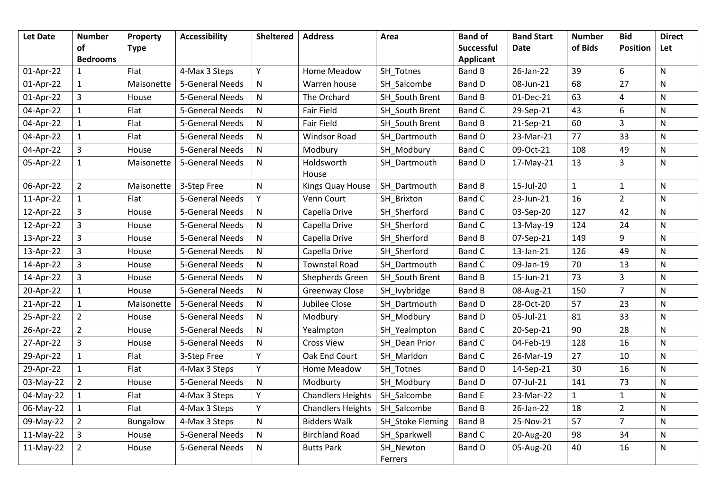| <b>Let Date</b> | <b>Number</b>   | Property    | <b>Accessibility</b> | <b>Sheltered</b> | <b>Address</b>           | Area                 | <b>Band of</b>    | <b>Band Start</b> | <b>Number</b> | <b>Bid</b>      | <b>Direct</b> |
|-----------------|-----------------|-------------|----------------------|------------------|--------------------------|----------------------|-------------------|-------------------|---------------|-----------------|---------------|
|                 | of              | <b>Type</b> |                      |                  |                          |                      | <b>Successful</b> | <b>Date</b>       | of Bids       | <b>Position</b> | Let           |
|                 | <b>Bedrooms</b> |             |                      |                  |                          |                      | <b>Applicant</b>  |                   |               |                 |               |
| 01-Apr-22       | $\mathbf{1}$    | Flat        | 4-Max 3 Steps        | Υ                | Home Meadow              | SH Totnes            | <b>Band B</b>     | 26-Jan-22         | 39            | 6               | N             |
| 01-Apr-22       | $\mathbf{1}$    | Maisonette  | 5-General Needs      | $\mathsf{N}$     | Warren house             | SH Salcombe          | <b>Band D</b>     | 08-Jun-21         | 68            | 27              | N             |
| 01-Apr-22       | 3               | House       | 5-General Needs      | ${\sf N}$        | The Orchard              | SH South Brent       | <b>Band B</b>     | 01-Dec-21         | 63            | 4               | ${\sf N}$     |
| 04-Apr-22       | $\mathbf{1}$    | Flat        | 5-General Needs      | ${\sf N}$        | <b>Fair Field</b>        | SH South Brent       | Band C            | 29-Sep-21         | 43            | 6               | ${\sf N}$     |
| 04-Apr-22       | $\mathbf{1}$    | Flat        | 5-General Needs      | ${\sf N}$        | Fair Field               | SH South Brent       | <b>Band B</b>     | 21-Sep-21         | 60            | 3               | N             |
| 04-Apr-22       | $\mathbf{1}$    | Flat        | 5-General Needs      | ${\sf N}$        | <b>Windsor Road</b>      | SH Dartmouth         | <b>Band D</b>     | 23-Mar-21         | 77            | 33              | ${\sf N}$     |
| 04-Apr-22       | $\overline{3}$  | House       | 5-General Needs      | ${\sf N}$        | Modbury                  | SH Modbury           | <b>Band C</b>     | 09-Oct-21         | 108           | 49              | ${\sf N}$     |
| 05-Apr-22       | $\mathbf{1}$    | Maisonette  | 5-General Needs      | ${\sf N}$        | Holdsworth               | SH_Dartmouth         | <b>Band D</b>     | 17-May-21         | 13            | $\overline{3}$  | N             |
|                 |                 |             |                      |                  | House                    |                      |                   |                   |               |                 |               |
| 06-Apr-22       | $\overline{2}$  | Maisonette  | 3-Step Free          | $\mathsf{N}$     | Kings Quay House         | SH Dartmouth         | <b>Band B</b>     | 15-Jul-20         | $\mathbf{1}$  | $\mathbf{1}$    | ${\sf N}$     |
| 11-Apr-22       | $\mathbf{1}$    | Flat        | 5-General Needs      | Y                | Venn Court               | SH Brixton           | <b>Band C</b>     | 23-Jun-21         | 16            | $\overline{2}$  | ${\sf N}$     |
| 12-Apr-22       | 3               | House       | 5-General Needs      | ${\sf N}$        | Capella Drive            | SH Sherford          | <b>Band C</b>     | 03-Sep-20         | 127           | 42              | N             |
| 12-Apr-22       | $\overline{3}$  | House       | 5-General Needs      | ${\sf N}$        | Capella Drive            | SH Sherford          | <b>Band C</b>     | 13-May-19         | 124           | 24              | ${\sf N}$     |
| 13-Apr-22       | 3               | House       | 5-General Needs      | $\mathsf{N}$     | Capella Drive            | SH Sherford          | <b>Band B</b>     | 07-Sep-21         | 149           | 9               | N             |
| 13-Apr-22       | 3               | House       | 5-General Needs      | $\mathsf{N}$     | Capella Drive            | SH_Sherford          | Band C            | 13-Jan-21         | 126           | 49              | N             |
| 14-Apr-22       | 3               | House       | 5-General Needs      | ${\sf N}$        | <b>Townstal Road</b>     | SH Dartmouth         | <b>Band C</b>     | 09-Jan-19         | 70            | 13              | ${\sf N}$     |
| 14-Apr-22       | $\overline{3}$  | House       | 5-General Needs      | ${\sf N}$        | Shepherds Green          | SH South Brent       | <b>Band B</b>     | 15-Jun-21         | 73            | 3               | ${\sf N}$     |
| 20-Apr-22       | $\mathbf{1}$    | House       | 5-General Needs      | $\mathsf{N}$     | <b>Greenway Close</b>    | SH_lvybridge         | <b>Band B</b>     | 08-Aug-21         | 150           | $\overline{7}$  | N             |
| 21-Apr-22       | $\mathbf{1}$    | Maisonette  | 5-General Needs      | ${\sf N}$        | Jubilee Close            | SH Dartmouth         | <b>Band D</b>     | 28-Oct-20         | 57            | 23              | ${\sf N}$     |
| 25-Apr-22       | $\overline{2}$  | House       | 5-General Needs      | ${\sf N}$        | Modbury                  | SH_Modbury           | <b>Band D</b>     | 05-Jul-21         | 81            | 33              | N             |
| 26-Apr-22       | $\overline{2}$  | House       | 5-General Needs      | ${\sf N}$        | Yealmpton                | SH_Yealmpton         | Band C            | 20-Sep-21         | 90            | 28              | ${\sf N}$     |
| 27-Apr-22       | 3               | House       | 5-General Needs      | ${\sf N}$        | <b>Cross View</b>        | SH Dean Prior        | <b>Band C</b>     | 04-Feb-19         | 128           | 16              | ${\sf N}$     |
| 29-Apr-22       | $\mathbf{1}$    | Flat        | 3-Step Free          | Υ                | Oak End Court            | SH Marldon           | <b>Band C</b>     | 26-Mar-19         | 27            | 10              | N             |
| 29-Apr-22       | $\mathbf{1}$    | Flat        | 4-Max 3 Steps        | Y                | Home Meadow              | SH Totnes            | <b>Band D</b>     | 14-Sep-21         | 30            | 16              | ${\sf N}$     |
| 03-May-22       | $\overline{2}$  | House       | 5-General Needs      | ${\sf N}$        | Modburty                 | SH Modbury           | <b>Band D</b>     | 07-Jul-21         | 141           | 73              | ${\sf N}$     |
| 04-May-22       | $\mathbf{1}$    | Flat        | 4-Max 3 Steps        | Y                | <b>Chandlers Heights</b> | SH_Salcombe          | <b>Band E</b>     | 23-Mar-22         | $\mathbf{1}$  | $\mathbf{1}$    | N             |
| 06-May-22       | $\mathbf{1}$    | Flat        | 4-Max 3 Steps        | Y                | <b>Chandlers Heights</b> | SH Salcombe          | <b>Band B</b>     | 26-Jan-22         | 18            | $\overline{2}$  | N             |
| 09-May-22       | $\overline{2}$  | Bungalow    | 4-Max 3 Steps        | ${\sf N}$        | <b>Bidders Walk</b>      | SH Stoke Fleming     | <b>Band B</b>     | 25-Nov-21         | 57            | $\overline{7}$  | ${\sf N}$     |
| 11-May-22       | $\mathbf{3}$    | House       | 5-General Needs      | $\mathsf{N}$     | <b>Birchland Road</b>    | SH_Sparkwell         | <b>Band C</b>     | 20-Aug-20         | 98            | 34              | ${\sf N}$     |
| 11-May-22       | $\overline{2}$  | House       | 5-General Needs      | ${\sf N}$        | <b>Butts Park</b>        | SH_Newton<br>Ferrers | Band D            | 05-Aug-20         | 40            | 16              | ${\sf N}$     |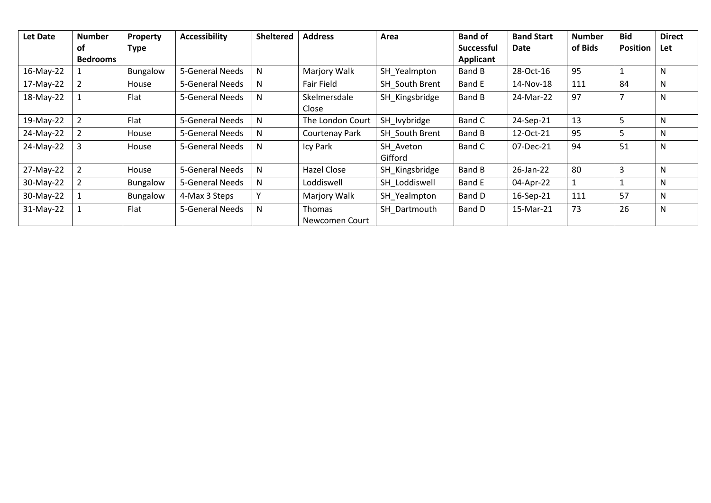| Let Date  | <b>Number</b>   | Property        | <b>Accessibility</b> | <b>Sheltered</b> | <b>Address</b>           | Area                 | <b>Band of</b>    | <b>Band Start</b> | <b>Number</b> | <b>Bid</b>      | <b>Direct</b> |
|-----------|-----------------|-----------------|----------------------|------------------|--------------------------|----------------------|-------------------|-------------------|---------------|-----------------|---------------|
|           | οf              | Type            |                      |                  |                          |                      | <b>Successful</b> | Date              | of Bids       | <b>Position</b> | <b>Let</b>    |
|           | <b>Bedrooms</b> |                 |                      |                  |                          |                      | Applicant         |                   |               |                 |               |
| 16-May-22 |                 | Bungalow        | 5-General Needs      | N                | Marjory Walk             | SH_Yealmpton         | Band B            | 28-Oct-16         | 95            |                 | N             |
| 17-May-22 |                 | House           | 5-General Needs      | N                | Fair Field               | SH South Brent       | Band E            | 14-Nov-18         | 111           | 84              | N             |
| 18-May-22 |                 | Flat            | 5-General Needs      | N                | Skelmersdale<br>Close    | SH Kingsbridge       | Band B            | 24-Mar-22         | 97            |                 | N             |
| 19-May-22 |                 | Flat            | 5-General Needs      | N                | The London Court         | SH lvybridge         | Band C            | 24-Sep-21         | 13            | 5               | N             |
| 24-May-22 |                 | House           | 5-General Needs      | N                | Courtenay Park           | SH South Brent       | Band B            | 12-Oct-21         | 95            | 5               | N             |
| 24-May-22 |                 | House           | 5-General Needs      | N                | Icy Park                 | SH Aveton<br>Gifford | Band C            | 07-Dec-21         | 94            | 51              | N             |
| 27-May-22 |                 | House           | 5-General Needs      | N                | Hazel Close              | SH Kingsbridge       | Band B            | 26-Jan-22         | 80            | 3               | N             |
| 30-May-22 |                 | <b>Bungalow</b> | 5-General Needs      | N                | Loddiswell               | SH Loddiswell        | Band E            | 04-Apr-22         |               |                 | N             |
| 30-May-22 |                 | Bungalow        | 4-Max 3 Steps        | $\mathsf{v}$     | Marjory Walk             | SH Yealmpton         | Band D            | 16-Sep-21         | 111           | 57              | N             |
| 31-May-22 |                 | Flat            | 5-General Needs      | N                | Thomas<br>Newcomen Court | SH Dartmouth         | Band D            | 15-Mar-21         | 73            | 26              | N             |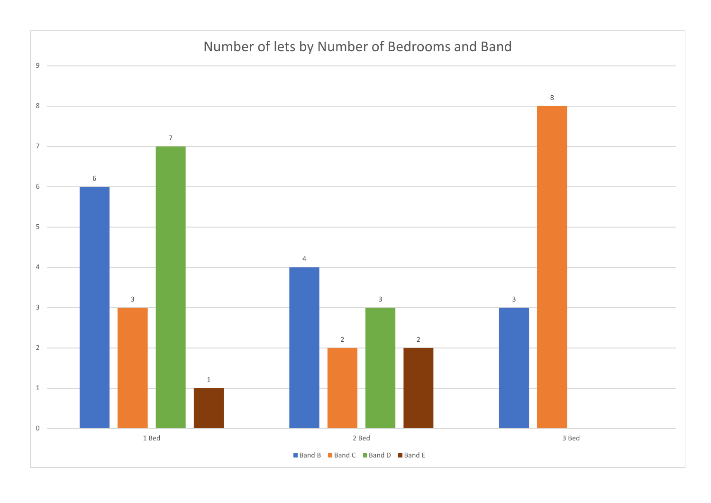